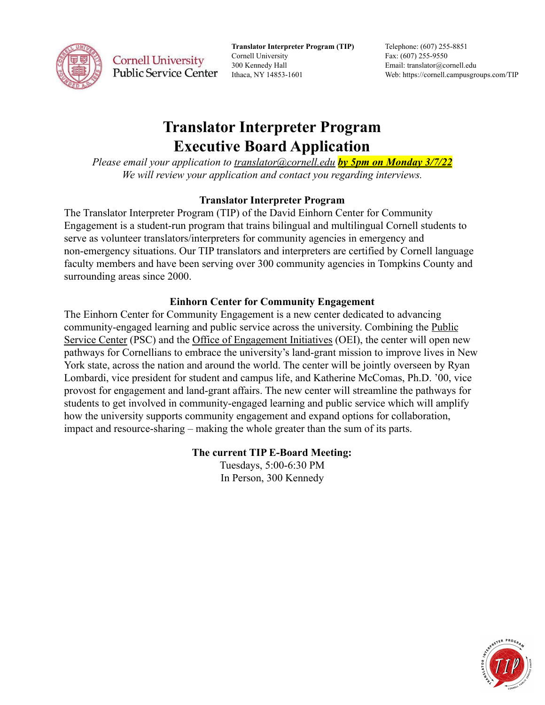

**Translator Interpreter Program (TIP)** Cornell University 300 Kennedy Hall Ithaca, NY 14853-1601

Telephone: (607) 255-8851 Fax: (607) 255-9550 Email: translator@cornell.edu Web: https://cornell.campusgroups.com/TIP

# **Translator Interpreter Program Executive Board Application**

*Please email your application to [translator@cornell.edu](mailto:translator@cornell.edu) by 5pm on Monday 3/7/22 We will review your application and contact you regarding interviews.*

### **Translator Interpreter Program**

The Translator Interpreter Program (TIP) of the David Einhorn Center for Community Engagement is a student-run program that trains bilingual and multilingual Cornell students to serve as volunteer translators/interpreters for community agencies in emergency and non-emergency situations. Our TIP translators and interpreters are certified by Cornell language faculty members and have been serving over 300 community agencies in Tompkins County and surrounding areas since 2000.

## **Einhorn Center for Community Engagement**

The Einhorn Center for Community Engagement is a new center dedicated to advancing community-engaged learning and public service across the university. Combining the [Public](https://scl.cornell.edu/get-involved/public-service-center) [Service Center](https://scl.cornell.edu/get-involved/public-service-center) (PSC) and the [Office of Engagement](https://oei.cornell.edu/) Initiatives (OEI), the center will open new pathways for Cornellians to embrace the university's land-grant mission to improve lives in New York state, across the nation and around the world. The center will be jointly overseen by Ryan Lombardi, vice president for student and campus life, and Katherine McComas, Ph.D. '00, vice provost for engagement and land-grant affairs. The new center will streamline the pathways for students to get involved in community-engaged learning and public service which will amplify how the university supports community engagement and expand options for collaboration, impact and resource-sharing – making the whole greater than the sum of its parts.

### **The current TIP E-Board Meeting:**

Tuesdays, 5:00-6:30 PM In Person, 300 Kennedy

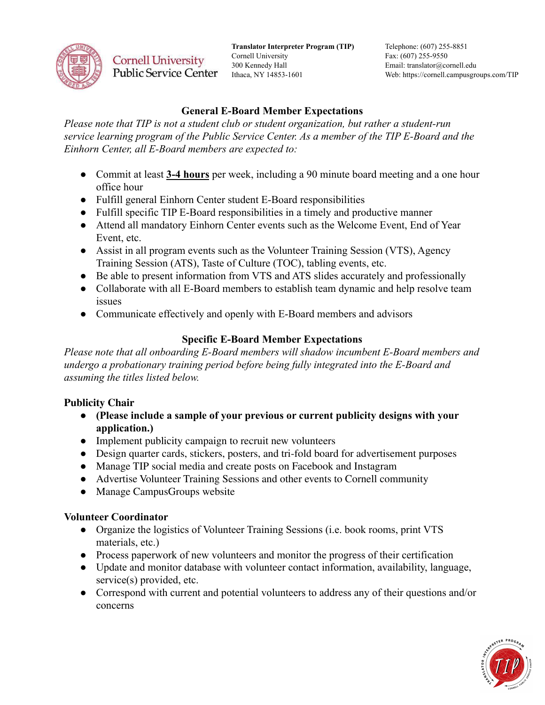

**Translator Interpreter Program (TIP)** Cornell University 300 Kennedy Hall Ithaca, NY 14853-1601

Telephone: (607) 255-8851 Fax: (607) 255-9550 Email: translator@cornell.edu Web: https://cornell.campusgroups.com/TIP

### **General E-Board Member Expectations**

*Please note that TIP is not a student club or student organization, but rather a student-run service learning program of the Public Service Center. As a member of the TIP E-Board and the Einhorn Center, all E-Board members are expected to:*

- Commit at least **3-4 hours** per week, including a 90 minute board meeting and a one hour office hour
- Fulfill general Einhorn Center student E-Board responsibilities
- Fulfill specific TIP E-Board responsibilities in a timely and productive manner
- Attend all mandatory Einhorn Center events such as the Welcome Event, End of Year Event, etc.
- Assist in all program events such as the Volunteer Training Session (VTS), Agency Training Session (ATS), Taste of Culture (TOC), tabling events, etc.
- Be able to present information from VTS and ATS slides accurately and professionally
- Collaborate with all E-Board members to establish team dynamic and help resolve team issues
- Communicate effectively and openly with E-Board members and advisors

## **Specific E-Board Member Expectations**

*Please note that all onboarding E-Board members will shadow incumbent E-Board members and undergo a probationary training period before being fully integrated into the E-Board and assuming the titles listed below.*

### **Publicity Chair**

- **● (Please include a sample of your previous or current publicity designs with your application.)**
- Implement publicity campaign to recruit new volunteers
- Design quarter cards, stickers, posters, and tri-fold board for advertisement purposes
- Manage TIP social media and create posts on Facebook and Instagram
- Advertise Volunteer Training Sessions and other events to Cornell community
- Manage CampusGroups website

### **Volunteer Coordinator**

- Organize the logistics of Volunteer Training Sessions (i.e. book rooms, print VTS materials, etc.)
- Process paperwork of new volunteers and monitor the progress of their certification
- Update and monitor database with volunteer contact information, availability, language, service(s) provided, etc.
- Correspond with current and potential volunteers to address any of their questions and/or concerns

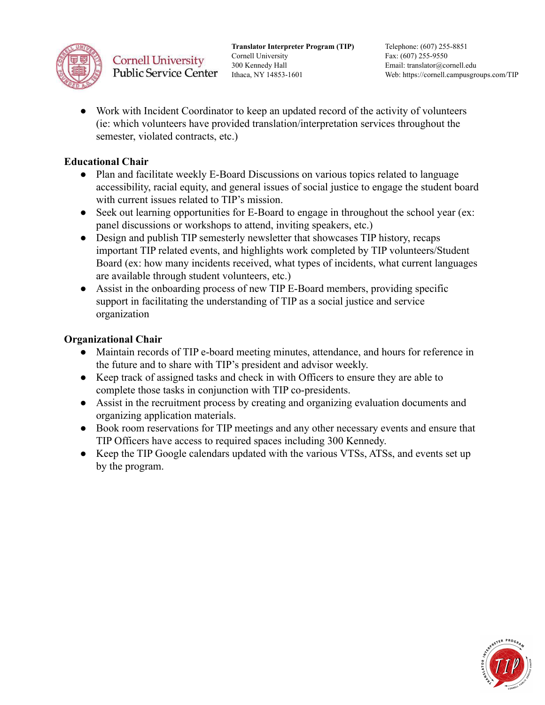

**Translator Interpreter Program (TIP)** Cornell University 300 Kennedy Hall Ithaca, NY 14853-1601

Telephone: (607) 255-8851 Fax: (607) 255-9550 Email: translator@cornell.edu Web: https://cornell.campusgroups.com/TIP

Work with Incident Coordinator to keep an updated record of the activity of volunteers (ie: which volunteers have provided translation/interpretation services throughout the semester, violated contracts, etc.)

### **Educational Chair**

- Plan and facilitate weekly E-Board Discussions on various topics related to language accessibility, racial equity, and general issues of social justice to engage the student board with current issues related to TIP's mission.
- Seek out learning opportunities for E-Board to engage in throughout the school year (ex: panel discussions or workshops to attend, inviting speakers, etc.)
- Design and publish TIP semesterly newsletter that showcases TIP history, recaps important TIP related events, and highlights work completed by TIP volunteers/Student Board (ex: how many incidents received, what types of incidents, what current languages are available through student volunteers, etc.)
- Assist in the onboarding process of new TIP E-Board members, providing specific support in facilitating the understanding of TIP as a social justice and service organization

### **Organizational Chair**

- Maintain records of TIP e-board meeting minutes, attendance, and hours for reference in the future and to share with TIP's president and advisor weekly.
- Keep track of assigned tasks and check in with Officers to ensure they are able to complete those tasks in conjunction with TIP co-presidents.
- Assist in the recruitment process by creating and organizing evaluation documents and organizing application materials.
- Book room reservations for TIP meetings and any other necessary events and ensure that TIP Officers have access to required spaces including 300 Kennedy.
- Keep the TIP Google calendars updated with the various VTSs, ATSs, and events set up by the program.

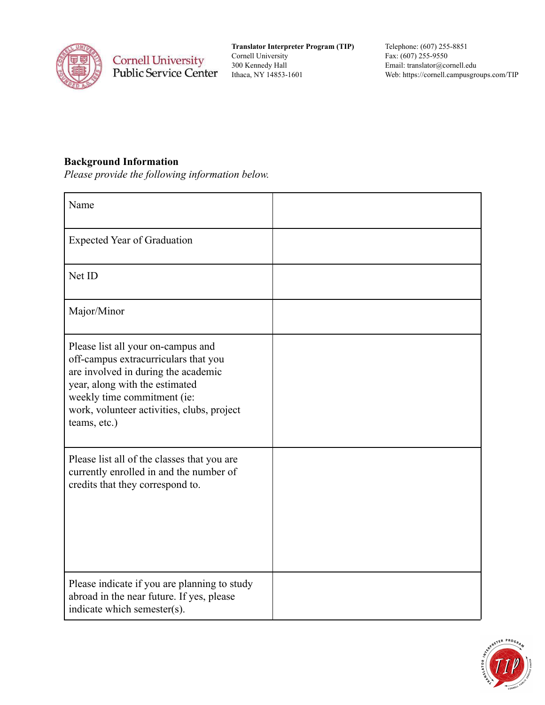

**Translator Interpreter Program (TIP)** Cornell University 300 Kennedy Hall Ithaca, NY 14853-1601

Telephone: (607) 255-8851 Fax: (607) 255-9550 Email: translator@cornell.edu Web: https://cornell.campusgroups.com/TIP

## **Background Information**

*Please provide the following information below.*

| Name                                                                                                                                                                                                                                             |  |
|--------------------------------------------------------------------------------------------------------------------------------------------------------------------------------------------------------------------------------------------------|--|
| <b>Expected Year of Graduation</b>                                                                                                                                                                                                               |  |
| Net ID                                                                                                                                                                                                                                           |  |
| Major/Minor                                                                                                                                                                                                                                      |  |
| Please list all your on-campus and<br>off-campus extracurriculars that you<br>are involved in during the academic<br>year, along with the estimated<br>weekly time commitment (ie:<br>work, volunteer activities, clubs, project<br>teams, etc.) |  |
| Please list all of the classes that you are<br>currently enrolled in and the number of<br>credits that they correspond to.                                                                                                                       |  |
| Please indicate if you are planning to study<br>abroad in the near future. If yes, please<br>indicate which semester(s).                                                                                                                         |  |

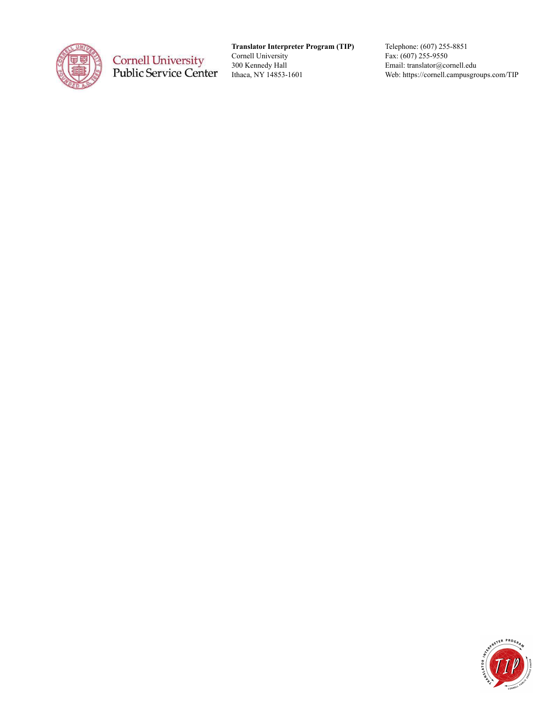

**Translator Interpreter Program (TIP)** Cornell University 300 Kennedy Hall Ithaca, NY 14853-1601

Telephone: (607) 255-8851 Fax: (607) 255-9550 Email: translator@cornell.edu Web: https://cornell.campusgroups.com/TIP

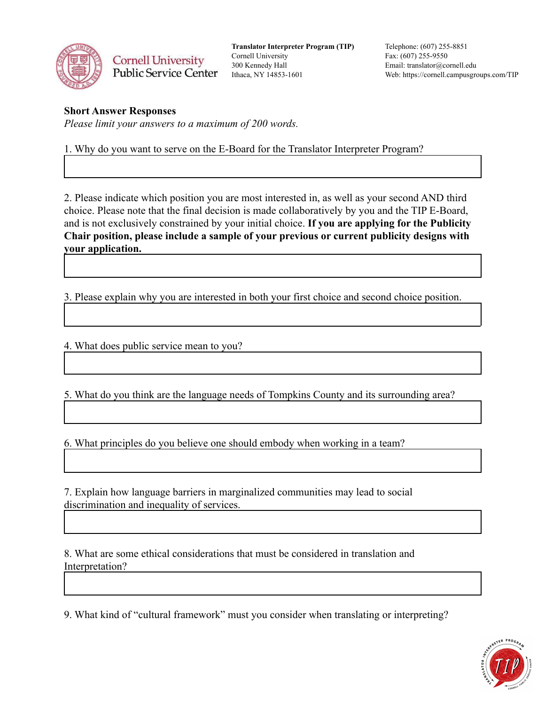

**Translator Interpreter Program (TIP)** Cornell University 300 Kennedy Hall Ithaca, NY 14853-1601

Telephone: (607) 255-8851 Fax: (607) 255-9550 Email: translator@cornell.edu Web: https://cornell.campusgroups.com/TIP

#### **Short Answer Responses**

*Please limit your answers to a maximum of 200 words.*

1. Why do you want to serve on the E-Board for the Translator Interpreter Program?

2. Please indicate which position you are most interested in, as well as your second AND third choice. Please note that the final decision is made collaboratively by you and the TIP E-Board, and is not exclusively constrained by your initial choice. **If you are applying for the Publicity Chair position, please include a sample of your previous or current publicity designs with your application.**

3. Please explain why you are interested in both your first choice and second choice position.

4. What does public service mean to you?

5. What do you think are the language needs of Tompkins County and its surrounding area?

6. What principles do you believe one should embody when working in a team?

7. Explain how language barriers in marginalized communities may lead to social discrimination and inequality of services.

8. What are some ethical considerations that must be considered in translation and Interpretation?

9. What kind of "cultural framework" must you consider when translating or interpreting?